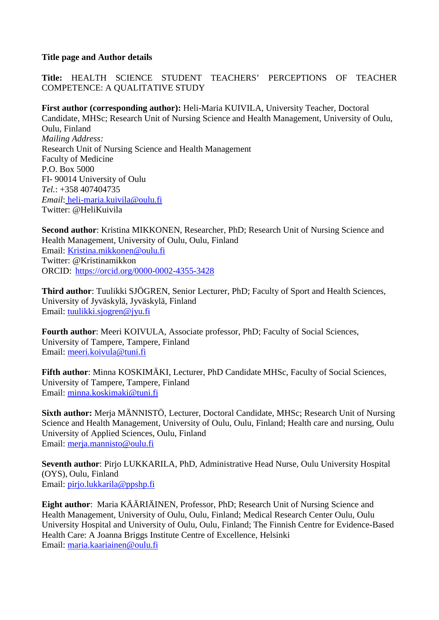### **Title page and Author details**

**Title:** HEALTH SCIENCE STUDENT TEACHERS' PERCEPTIONS OF TEACHER COMPETENCE: A QUALITATIVE STUDY

**First author (corresponding author):** Heli-Maria KUIVILA, University Teacher, Doctoral Candidate, MHSc; Research Unit of Nursing Science and Health Management, University of Oulu, Oulu, Finland *Mailing Address:* Research Unit of Nursing Science and Health Management Faculty of Medicine P.O. Box 5000 FI- 90014 University of Oulu *Tel.*: +358 407404735 *Email*: heli-maria.kuivila@oulu.fi Twitter: @HeliKuivila

**Second author**: Kristina MIKKONEN, Researcher, PhD; Research Unit of Nursing Science and Health Management, University of Oulu, Oulu, Finland Email: Kristina.mikkonen@oulu.fi Twitter: @Kristinamikkon ORCID: https://orcid.org/0000-0002-4355-3428

**Third author**: Tuulikki SJÖGREN, Senior Lecturer, PhD; Faculty of Sport and Health Sciences, University of Jyväskylä, Jyväskylä, Finland Email: tuulikki.sjogren@jyu.fi

**Fourth author**: Meeri KOIVULA, Associate professor, PhD; Faculty of Social Sciences, University of Tampere, Tampere, Finland Email: meeri.koivula@tuni.fi

**Fifth author**: Minna KOSKIMÄKI, Lecturer, PhD Candidate MHSc, Faculty of Social Sciences, University of Tampere, Tampere, Finland Email: minna.koskimaki@tuni.fi

**Sixth author:** Merja MÄNNISTÖ, Lecturer, Doctoral Candidate, MHSc; Research Unit of Nursing Science and Health Management, University of Oulu, Oulu, Finland; Health care and nursing, Oulu University of Applied Sciences, Oulu, Finland Email: merja.mannisto@oulu.fi

**Seventh author**: Pirjo LUKKARILA, PhD, Administrative Head Nurse, Oulu University Hospital (OYS), Oulu, Finland Email: pirjo.lukkarila@ppshp.fi

**Eight author**: Maria KÄÄRIÄINEN, Professor, PhD; Research Unit of Nursing Science and Health Management, University of Oulu, Oulu, Finland; Medical Research Center Oulu, Oulu University Hospital and University of Oulu, Oulu, Finland; The Finnish Centre for Evidence-Based Health Care: A Joanna Briggs Institute Centre of Excellence, Helsinki Email: maria.kaariainen@oulu.fi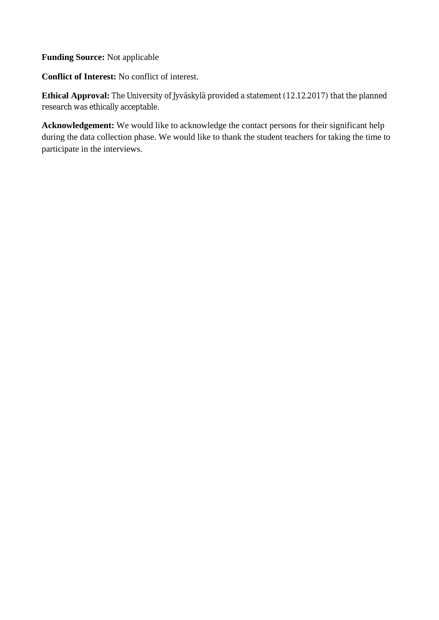**Funding Source:** Not applicable

**Conflict of Interest:** No conflict of interest.

**Ethical Approval:** The University of Jyväskylä provided a statement (12.12.2017) that the planned research was ethically acceptable.

**Acknowledgement:** We would like to acknowledge the contact persons for their significant help during the data collection phase. We would like to thank the student teachers for taking the time to participate in the interviews.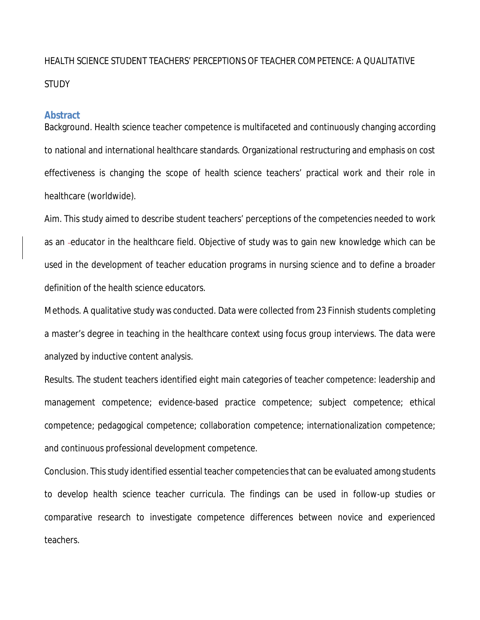# HEALTH SCIENCE STUDENT TEACHERS' PERCEPTIONS OF TEACHER COMPETENCE: A QUALITATIVE **STUDY**

### **Abstract**

Background. Health science teacher competence is multifaceted and continuously changing according to national and international healthcare standards. Organizational restructuring and emphasis on cost effectiveness is changing the scope of health science teachers' practical work and their role in healthcare (worldwide).

Aim. This study aimed to describe student teachers' perceptions of the competencies needed to work as an educator in the healthcare field. Objective of study was to gain new knowledge which can be used in the development of teacher education programs in nursing science and to define a broader definition of the health science educators.

Methods. A qualitative study was conducted. Data were collected from 23 Finnish students completing a master's degree in teaching in the healthcare context using focus group interviews. The data were analyzed by inductive content analysis.

Results. The student teachers identified eight main categories of teacher competence: leadership and management competence; evidence-based practice competence; subject competence; ethical competence; pedagogical competence; collaboration competence; internationalization competence; and continuous professional development competence.

Conclusion. Thisstudy identified essential teacher competencies that can be evaluated among students to develop health science teacher curricula. The findings can be used in follow-up studies or comparative research to investigate competence differences between novice and experienced teachers.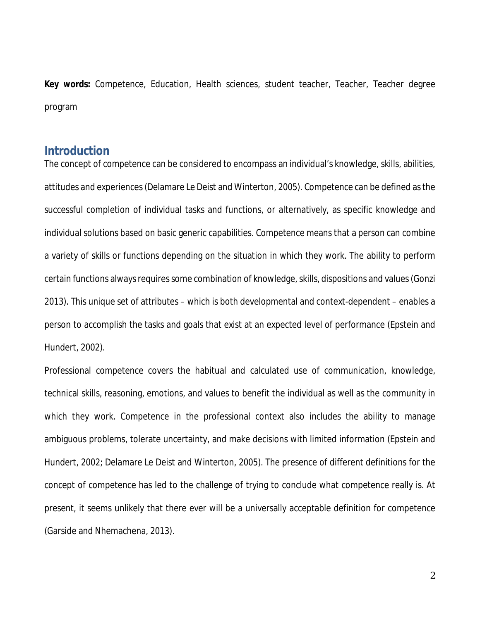**Key words:** Competence, Education, Health sciences, student teacher, Teacher, Teacher degree program

# **Introduction**

The concept of competence can be considered to encompass an individual's knowledge, skills, abilities, attitudes and experiences (Delamare Le Deist and Winterton, 2005). Competence can be defined as the successful completion of individual tasks and functions, or alternatively, as specific knowledge and individual solutions based on basic generic capabilities. Competence means that a person can combine a variety of skills or functions depending on the situation in which they work. The ability to perform certain functions always requires some combination of knowledge, skills, dispositions and values(Gonzi 2013). This unique set of attributes – which is both developmental and context-dependent – enables a person to accomplish the tasks and goals that exist at an expected level of performance (Epstein and Hundert, 2002).

Professional competence covers the habitual and calculated use of communication, knowledge, technical skills, reasoning, emotions, and values to benefit the individual as well as the community in which they work. Competence in the professional context also includes the ability to manage ambiguous problems, tolerate uncertainty, and make decisions with limited information (Epstein and Hundert, 2002; Delamare Le Deist and Winterton, 2005). The presence of different definitions for the concept of competence has led to the challenge of trying to conclude what competence really is. At present, it seems unlikely that there ever will be a universally acceptable definition for competence (Garside and Nhemachena, 2013).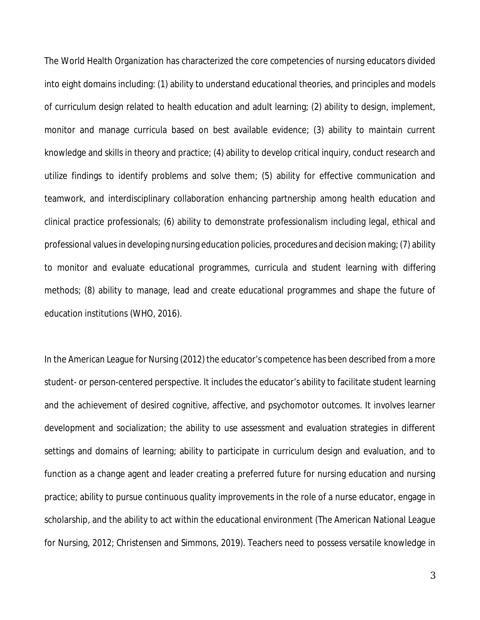The World Health Organization has characterized the core competencies of nursing educators divided into eight domains including: (1) ability to understand educational theories, and principles and models of curriculum design related to health education and adult learning; (2) ability to design, implement, monitor and manage curricula based on best available evidence; (3) ability to maintain current knowledge and skills in theory and practice; (4) ability to develop critical inquiry, conduct research and utilize findings to identify problems and solve them; (5) ability for effective communication and teamwork, and interdisciplinary collaboration enhancing partnership among health education and clinical practice professionals; (6) ability to demonstrate professionalism including legal, ethical and professional values in developing nursing education policies, procedures and decision making; (7) ability to monitor and evaluate educational programmes, curricula and student learning with differing methods; (8) ability to manage, lead and create educational programmes and shape the future of education institutions (WHO, 2016).

In the American League for Nursing (2012) the educator's competence has been described from a more student- or person-centered perspective. It includes the educator's ability to facilitate student learning and the achievement of desired cognitive, affective, and psychomotor outcomes. It involves learner development and socialization; the ability to use assessment and evaluation strategies in different settings and domains of learning; ability to participate in curriculum design and evaluation, and to function as a change agent and leader creating a preferred future for nursing education and nursing practice; ability to pursue continuous quality improvements in the role of a nurse educator, engage in scholarship, and the ability to act within the educational environment (The American National League for Nursing, 2012; Christensen and Simmons, 2019). Teachers need to possess versatile knowledge in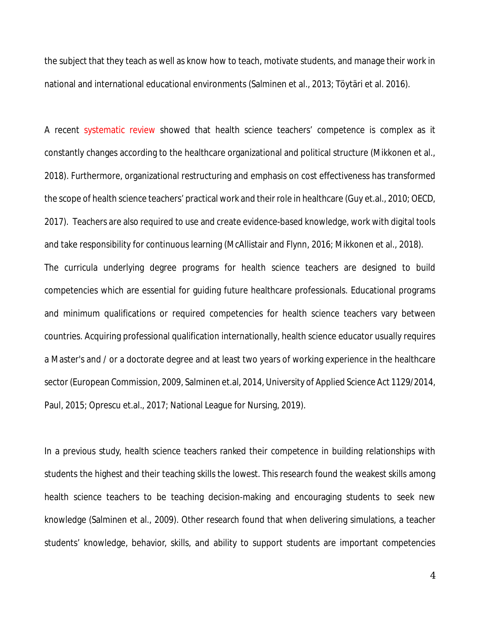the subject that they teach as well as know how to teach, motivate students, and manage their work in national and international educational environments (Salminen et al., 2013; Töytäri et al. 2016).

A recent systematic review showed that health science teachers' competence is complex as it constantly changes according to the healthcare organizational and political structure (Mikkonen et al., 2018). Furthermore, organizational restructuring and emphasis on cost effectiveness has transformed the scope of health science teachers' practical work and their role in healthcare (Guy et.al., 2010; OECD, 2017). Teachers are also required to use and create evidence-based knowledge, work with digital tools and take responsibility for continuous learning (McAllistair and Flynn, 2016; Mikkonen et al., 2018). The curricula underlying degree programs for health science teachers are designed to build competencies which are essential for guiding future healthcare professionals. Educational programs and minimum qualifications or required competencies for health science teachers vary between countries. Acquiring professional qualification internationally, health science educator usually requires a Master's and / or a doctorate degree and at least two years of working experience in the healthcare sector (European Commission, 2009, Salminen et.al, 2014, University of Applied Science Act 1129/2014, Paul, 2015; Oprescu et.al., 2017; National League for Nursing, 2019).

In a previous study, health science teachers ranked their competence in building relationships with students the highest and their teaching skills the lowest. This research found the weakest skills among health science teachers to be teaching decision-making and encouraging students to seek new knowledge (Salminen et al., 2009). Other research found that when delivering simulations, a teacher students' knowledge, behavior, skills, and ability to support students are important competencies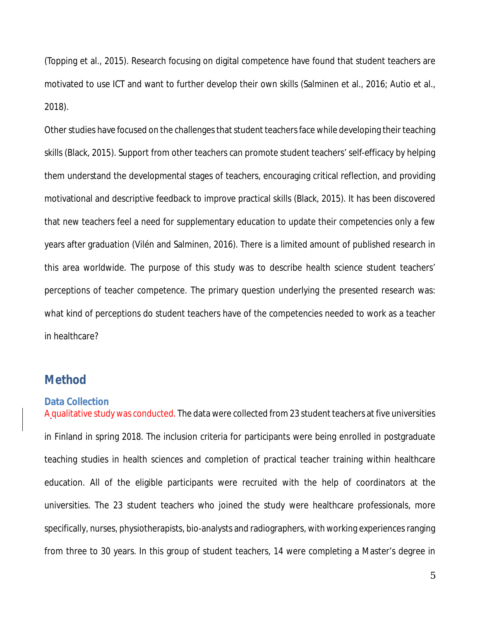(Topping et al., 2015). Research focusing on digital competence have found that student teachers are motivated to use ICT and want to further develop their own skills (Salminen et al., 2016; Autio et al., 2018).

Other studies have focused on the challenges that student teachers face while developing their teaching skills (Black, 2015). Support from other teachers can promote student teachers' self-efficacy by helping them understand the developmental stages of teachers, encouraging critical reflection, and providing motivational and descriptive feedback to improve practical skills (Black, 2015). It has been discovered that new teachers feel a need for supplementary education to update their competencies only a few years after graduation (Vilén and Salminen, 2016). There is a limited amount of published research in this area worldwide. The purpose of this study was to describe health science student teachers' perceptions of teacher competence. The primary question underlying the presented research was: what kind of perceptions do student teachers have of the competencies needed to work as a teacher in healthcare?

# **Method**

### **Data Collection**

A qualitative study was conducted. The data were collected from 23 student teachers at five universities in Finland in spring 2018. The inclusion criteria for participants were being enrolled in postgraduate teaching studies in health sciences and completion of practical teacher training within healthcare education. All of the eligible participants were recruited with the help of coordinators at the universities. The 23 student teachers who joined the study were healthcare professionals, more specifically, nurses, physiotherapists, bio-analysts and radiographers, with working experiencesranging from three to 30 years. In this group of student teachers, 14 were completing a Master's degree in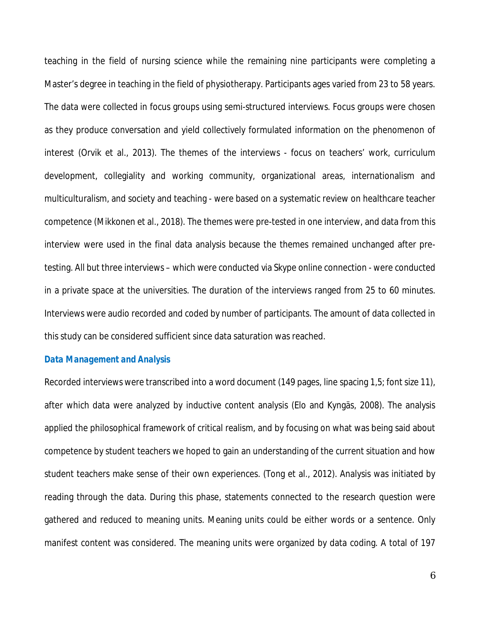teaching in the field of nursing science while the remaining nine participants were completing a Master's degree in teaching in the field of physiotherapy. Participants ages varied from 23 to 58 years. The data were collected in focus groups using semi-structured interviews. Focus groups were chosen as they produce conversation and yield collectively formulated information on the phenomenon of interest (Orvik et al., 2013). The themes of the interviews - focus on teachers' work, curriculum development, collegiality and working community, organizational areas, internationalism and multiculturalism, and society and teaching - were based on a systematic review on healthcare teacher competence (Mikkonen et al., 2018). The themes were pre-tested in one interview, and data from this interview were used in the final data analysis because the themes remained unchanged after pretesting. All but three interviews – which were conducted via Skype online connection - were conducted in a private space at the universities. The duration of the interviews ranged from 25 to 60 minutes. Interviews were audio recorded and coded by number of participants. The amount of data collected in this study can be considered sufficient since data saturation was reached.

#### *Data Management and Analysis*

Recorded interviews were transcribed into a word document (149 pages, line spacing 1,5; font size 11), after which data were analyzed by inductive content analysis (Elo and Kyngäs, 2008). The analysis applied the philosophical framework of critical realism, and by focusing on what was being said about competence by student teachers we hoped to gain an understanding of the current situation and how student teachers make sense of their own experiences. (Tong et al., 2012). Analysis was initiated by reading through the data. During this phase, statements connected to the research question were gathered and reduced to meaning units. Meaning units could be either words or a sentence. Only manifest content was considered. The meaning units were organized by data coding. A total of 197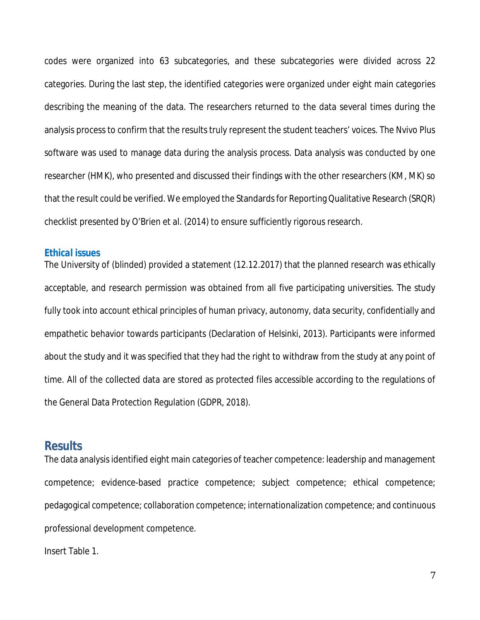codes were organized into 63 subcategories, and these subcategories were divided across 22 categories. During the last step, the identified categories were organized under eight main categories describing the meaning of the data. The researchers returned to the data several times during the analysis process to confirm that the results truly represent the student teachers' voices. The Nvivo Plus software was used to manage data during the analysis process. Data analysis was conducted by one researcher (HMK), who presented and discussed their findings with the other researchers (KM, MK) so that the result could be verified. We employed the Standards for Reporting Qualitative Research (SRQR) checklist presented by O'Brien et al. (2014) to ensure sufficiently rigorous research.

#### *Ethical issues*

The University of (blinded) provided a statement (12.12.2017) that the planned research was ethically acceptable, and research permission was obtained from all five participating universities. The study fully took into account ethical principles of human privacy, autonomy, data security, confidentially and empathetic behavior towards participants (Declaration of Helsinki, 2013). Participants were informed about the study and it was specified that they had the right to withdraw from the study at any point of time. All of the collected data are stored as protected files accessible according to the regulations of the General Data Protection Regulation (GDPR, 2018).

## **Results**

The data analysis identified eight main categories of teacher competence: leadership and management competence; evidence-based practice competence; subject competence; ethical competence; pedagogical competence; collaboration competence; internationalization competence; and continuous professional development competence.

Insert Table 1.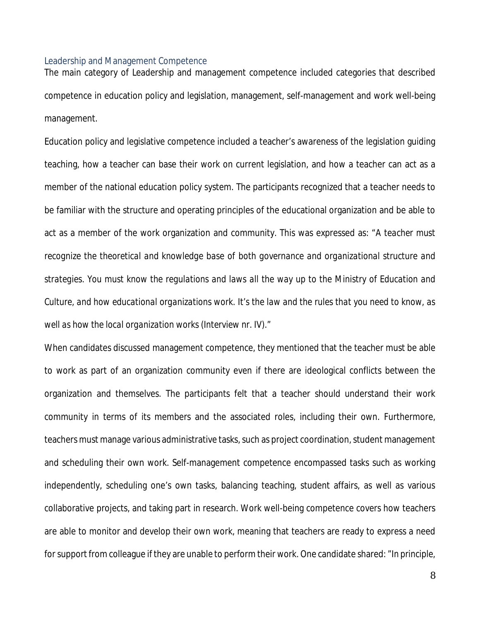### Leadership and Management Competence

The main category of Leadership and management competence included categories that described competence in education policy and legislation, management, self-management and work well-being management.

Education policy and legislative competence included a teacher's awareness of the legislation guiding teaching, how a teacher can base their work on current legislation, and how a teacher can act as a member of the national education policy system. The participants recognized that a teacher needs to be familiar with the structure and operating principles of the educational organization and be able to act as a member of the work organization and community. This was expressed as: *"A teacher must recognize the theoretical and knowledge base of both governance and organizational structure and strategies. You must know the regulations and laws all the way up to the Ministry of Education and Culture, and how educational organizations work. It's the law and the rules that you need to know, as well as how the local organization works (Interview nr. IV)."*

When candidates discussed management competence, they mentioned that the teacher must be able to work as part of an organization community even if there are ideological conflicts between the organization and themselves. The participants felt that a teacher should understand their work community in terms of its members and the associated roles, including their own. Furthermore, teachers must manage various administrative tasks, such as project coordination, student management and scheduling their own work. Self-management competence encompassed tasks such as working independently, scheduling one's own tasks, balancing teaching, student affairs, as well as various collaborative projects, and taking part in research. Work well-being competence covers how teachers are able to monitor and develop their own work, meaning that teachers are ready to express a need for support from colleague if they are unable to perform their work. One candidate shared: *"In principle,*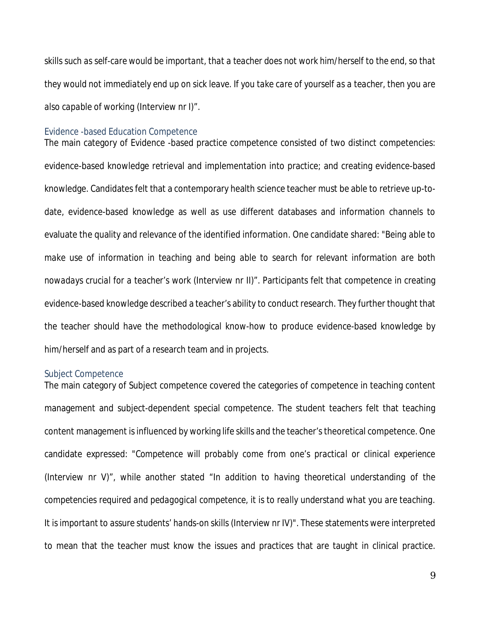*skills such as self-care would be important, that a teacher does not work him/herself to the end, so that they would not immediately end up on sick leave. If you take care of yourself as a teacher, then you are also capable of working* (Interview nr I)*".*

#### Evidence -based Education Competence

The main category of Evidence -based practice competence consisted of two distinct competencies: evidence-based knowledge retrieval and implementation into practice; and creating evidence-based knowledge. Candidates felt that a contemporary health science teacher must be able to retrieve up-todate, evidence-based knowledge as well as use different databases and information channels to evaluate the quality and relevance of the identified information. One candidate shared: *"Being able to* make use of information in teaching and being able to search for relevant information are both *nowadays crucial for a teacher's work* (Interview nr II)*".* Participants felt that competence in creating evidence-based knowledge described a teacher's ability to conduct research. They further thought that the teacher should have the methodological know-how to produce evidence-based knowledge by him/herself and as part of a research team and in projects.

#### Subject Competence

The main category of Subject competence covered the categories of competence in teaching content management and subject-dependent special competence. The student teachers felt that teaching content management is influenced by working life skills and the teacher's theoretical competence. One candidate expressed: *"Competence will probably come from one's practical or clinical experience* (Interview nr V)*", while* another stated *"In addition to having theoretical understanding of the competencies required and pedagogical competence, it is to really understand what you are teaching. It is important to assure students' hands-on skills* (Interview nr IV)*".* These statements were interpreted to mean that the teacher must know the issues and practices that are taught in clinical practice.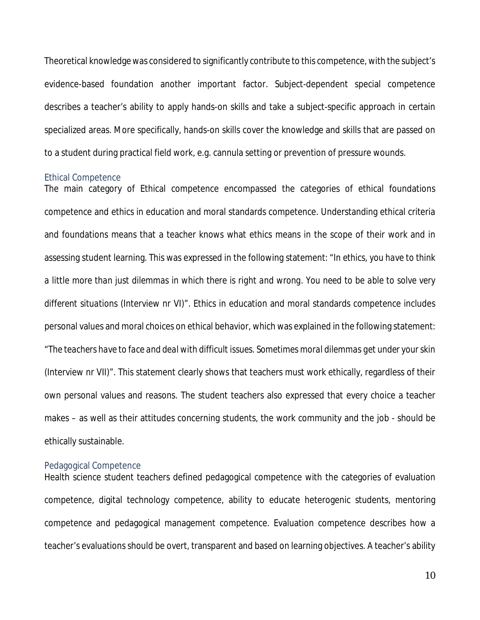Theoretical knowledge was considered to significantly contribute to this competence, with the subject's evidence-based foundation another important factor. Subject-dependent special competence describes a teacher's ability to apply hands-on skills and take a subject-specific approach in certain specialized areas. More specifically, hands-on skills cover the knowledge and skills that are passed on to a student during practical field work, e.g. cannula setting or prevention of pressure wounds.

#### Ethical Competence

The main category of Ethical competence encompassed the categories of ethical foundations competence and ethics in education and moral standards competence. Understanding ethical criteria and foundations means that a teacher knows what ethics means in the scope of their work and in assessing student learning. This was expressed in the following statement: *"In ethics, you have to think a little more than just dilemmas in which there is right and wrong. You need to be able to solve very different situations* (Interview nr VI)*".* Ethics in education and moral standards competence includes personal values and moral choices on ethical behavior, which was explained in the following statement: *"The teachers have to face and deal with difficult issues. Sometimes moral dilemmas get under your skin* (Interview nr VII)*".* This statement clearly shows that teachers must work ethically, regardless of their own personal values and reasons. The student teachers also expressed that every choice a teacher makes – as well as their attitudes concerning students, the work community and the job - should be ethically sustainable.

#### Pedagogical Competence

Health science student teachers defined pedagogical competence with the categories of evaluation competence, digital technology competence, ability to educate heterogenic students, mentoring competence and pedagogical management competence. Evaluation competence describes how a teacher's evaluations should be overt, transparent and based on learning objectives. A teacher's ability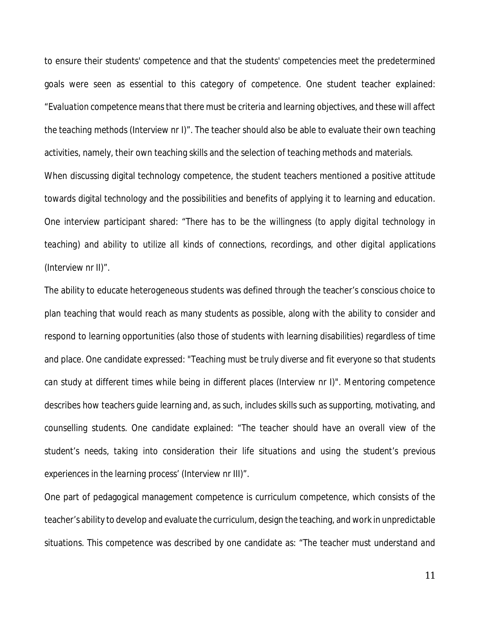to ensure their students' competence and that the students' competencies meet the predetermined goals were seen as essential to this category of competence. One student teacher explained: *"Evaluation competence means that there must be criteria and learning objectives, and these will affect the teaching methods* (Interview nr I)*".* The teacher should also be able to evaluate their own teaching activities, namely, their own teaching skills and the selection of teaching methods and materials. When discussing digital technology competence, the student teachers mentioned a positive attitude towards digital technology and the possibilities and benefits of applying it to learning and education. One interview participant shared: *"There has to be the willingness (to apply digital technology in teaching) and ability to utilize all kinds of connections, recordings, and other digital applications* (Interview nr II)*".*

The ability to educate heterogeneous students was defined through the teacher's conscious choice to plan teaching that would reach as many students as possible, along with the ability to consider and respond to learning opportunities (also those of students with learning disabilities) regardless of time and place. One candidate expressed: *"Teaching must be truly diverse and fit everyone so that students can study at different times while being in different places* (Interview nr I)*".* Mentoring competence describes how teachers guide learning and, as such, includes skills such as supporting, motivating, and counselling students. One candidate explained: *"The teacher should have an overall view of the student's needs, taking into consideration their life situations and using the student's previous experiences in the learning process'* (Interview nr III)*".*

One part of pedagogical management competence is curriculum competence, which consists of the teacher's ability to develop and evaluate the curriculum, design the teaching, and work in unpredictable situations. This competence was described by one candidate as: *"The teacher must understand and*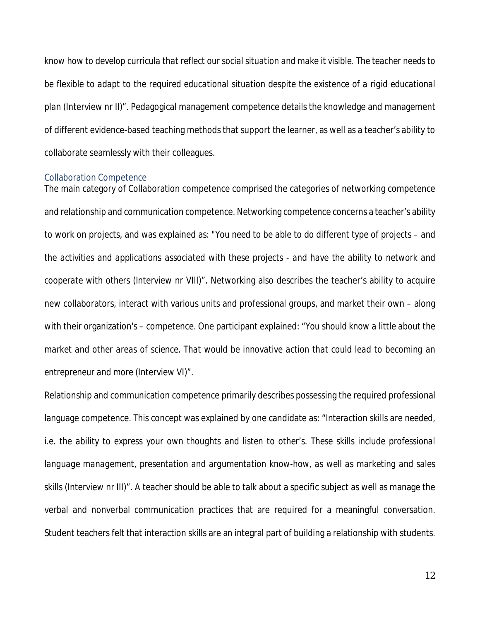*know how to develop curricula that reflect our social situation and make it visible. The teacher needs to be flexible to adapt to the required educational situation despite the existence of a rigid educational plan* (Interview nr II)*".* Pedagogical management competence details the knowledge and management of different evidence-based teaching methods that support the learner, as well as a teacher's ability to collaborate seamlessly with their colleagues.

### Collaboration Competence

The main category of Collaboration competence comprised the categories of networking competence and relationship and communication competence. Networking competence concerns a teacher's ability to work on projects, and was explained as: *"You need to be able to do different type of projects – and the activities and applications associated with these projects - and have the ability to network and cooperate with others* (Interview nr VIII)*".* Networking also describes the teacher's ability to acquire new collaborators, interact with various units and professional groups, and market their own – along with their organization's – competence. One participant explained: *"You should know a little about the market and other areas of science. That would be innovative action that could lead to becoming an entrepreneur and more* (Interview VI)*".*

Relationship and communication competence primarily describes possessing the required professional language competence. This concept was explained by one candidate as: *"Interaction skills are needed, i.e. the ability to express your own thoughts and listen to other's. These skills include professional language management, presentation and argumentation know-how, as well as marketing and sales skills* (Interview nr III)*".* A teacher should be able to talk about a specific subject as well as manage the verbal and nonverbal communication practices that are required for a meaningful conversation. Student teachers felt that interaction skills are an integral part of building a relationship with students.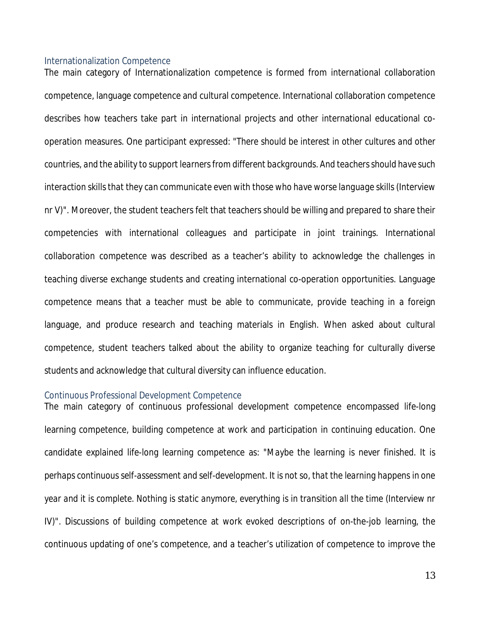#### Internationalization Competence

The main category of Internationalization competence is formed from international collaboration competence, language competence and cultural competence. International collaboration competence describes how teachers take part in international projects and other international educational cooperation measures. One participant expressed: *"There should be interest in other cultures and other countries, and the ability to support learners from different backgrounds. And teachers should have such interaction skills that they can communicate even with those who have worse language skills* (Interview nr V)*".* Moreover, the student teachers felt that teachers should be willing and prepared to share their competencies with international colleagues and participate in joint trainings. International collaboration competence was described as a teacher's ability to acknowledge the challenges in teaching diverse exchange students and creating international co-operation opportunities. Language competence means that a teacher must be able to communicate, provide teaching in a foreign language, and produce research and teaching materials in English. When asked about cultural competence, student teachers talked about the ability to organize teaching for culturally diverse students and acknowledge that cultural diversity can influence education.

#### Continuous Professional Development Competence

The main category of continuous professional development competence encompassed life-long learning competence, building competence at work and participation in continuing education. One candidate explained life-long learning competence as: *"Maybe the learning is never finished. It is perhaps continuous self-assessment and self-development. It is not so, that the learning happens in one year and it is complete. Nothing is static anymore, everything is in transition all the time* (Interview nr IV)*".* Discussions of building competence at work evoked descriptions of on-the-job learning, the continuous updating of one's competence, and a teacher's utilization of competence to improve the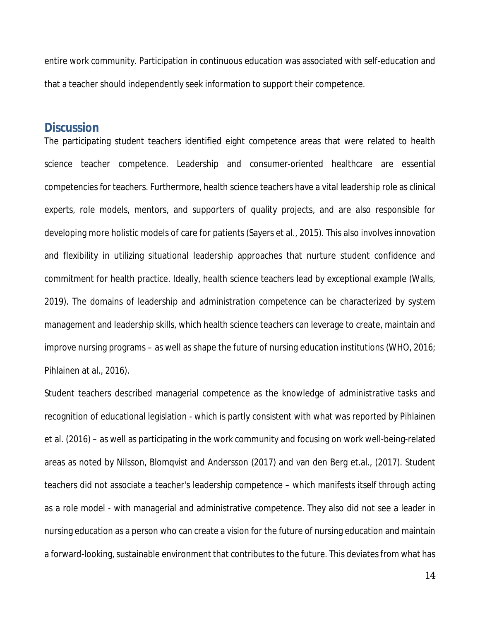entire work community. Participation in continuous education was associated with self-education and that a teacher should independently seek information to support their competence.

## **Discussion**

The participating student teachers identified eight competence areas that were related to health science teacher competence. Leadership and consumer-oriented healthcare are essential competencies for teachers. Furthermore, health science teachers have a vital leadership role as clinical experts, role models, mentors, and supporters of quality projects, and are also responsible for developing more holistic models of care for patients (Sayers et al., 2015). This also involves innovation and flexibility in utilizing situational leadership approaches that nurture student confidence and commitment for health practice. Ideally, health science teachers lead by exceptional example (Walls, 2019). The domains of leadership and administration competence can be characterized by system management and leadership skills, which health science teachers can leverage to create, maintain and improve nursing programs – as well as shape the future of nursing education institutions (WHO, 2016; Pihlainen at al., 2016).

Student teachers described managerial competence as the knowledge of administrative tasks and recognition of educational legislation - which is partly consistent with what was reported by Pihlainen et al. (2016) – as well as participating in the work community and focusing on work well-being-related areas as noted by Nilsson, Blomqvist and Andersson (2017) and van den Berg et.al., (2017). Student teachers did not associate a teacher's leadership competence – which manifests itself through acting as a role model - with managerial and administrative competence. They also did not see a leader in nursing education as a person who can create a vision for the future of nursing education and maintain a forward-looking, sustainable environment that contributes to the future. This deviates from what has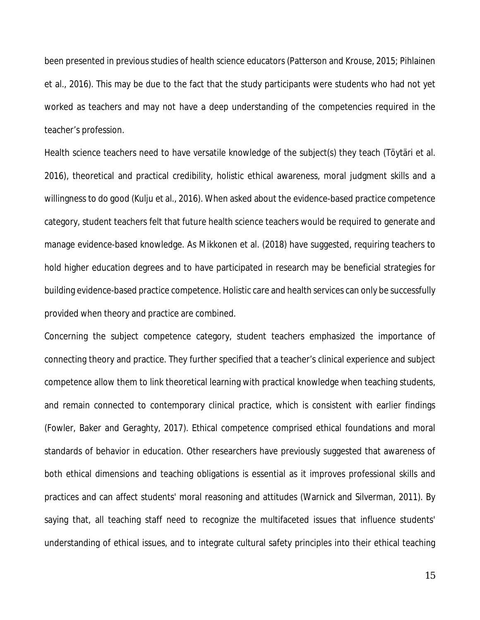been presented in previous studies of health science educators (Patterson and Krouse, 2015; Pihlainen et al., 2016). This may be due to the fact that the study participants were students who had not yet worked as teachers and may not have a deep understanding of the competencies required in the teacher's profession.

Health science teachers need to have versatile knowledge of the subject(s) they teach (Töytäri et al. 2016), theoretical and practical credibility, holistic ethical awareness, moral judgment skills and a willingness to do good (Kulju et al., 2016). When asked about the evidence-based practice competence category, student teachers felt that future health science teachers would be required to generate and manage evidence-based knowledge. As Mikkonen et al. (2018) have suggested, requiring teachers to hold higher education degrees and to have participated in research may be beneficial strategies for building evidence-based practice competence. Holistic care and health services can only be successfully provided when theory and practice are combined.

Concerning the subject competence category, student teachers emphasized the importance of connecting theory and practice. They further specified that a teacher's clinical experience and subject competence allow them to link theoretical learning with practical knowledge when teaching students, and remain connected to contemporary clinical practice, which is consistent with earlier findings (Fowler, Baker and Geraghty, 2017). Ethical competence comprised ethical foundations and moral standards of behavior in education. Other researchers have previously suggested that awareness of both ethical dimensions and teaching obligations is essential as it improves professional skills and practices and can affect students' moral reasoning and attitudes (Warnick and Silverman, 2011). By saying that, all teaching staff need to recognize the multifaceted issues that influence students' understanding of ethical issues, and to integrate cultural safety principles into their ethical teaching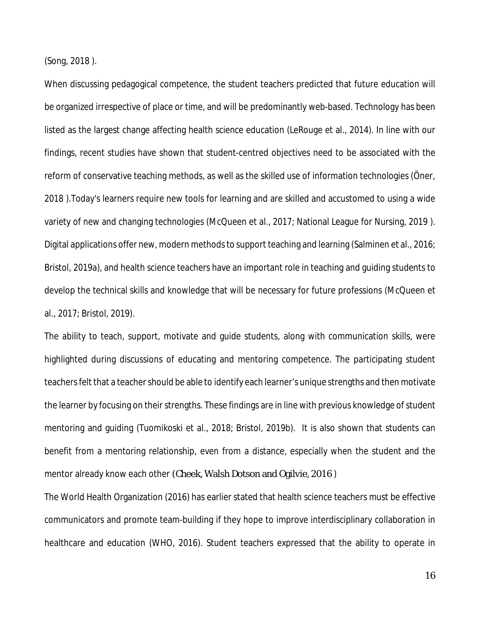(Song, 2018 ).

When discussing pedagogical competence, the student teachers predicted that future education will be organized irrespective of place or time, and will be predominantly web-based. Technology has been listed as the largest change affecting health science education (LeRouge et al., 2014). In line with our findings, recent studies have shown that student-centred objectives need to be associated with the reform of conservative teaching methods, as well as the skilled use of information technologies (Öner, 2018 ).Today's learners require new tools for learning and are skilled and accustomed to using a wide variety of new and changing technologies (McQueen et al., 2017; National League for Nursing, 2019 ). Digital applications offer new, modern methods to support teaching and learning (Salminen et al., 2016; Bristol, 2019a), and health science teachers have an important role in teaching and guiding students to develop the technical skills and knowledge that will be necessary for future professions (McQueen et al., 2017; Bristol, 2019).

The ability to teach, support, motivate and guide students, along with communication skills, were highlighted during discussions of educating and mentoring competence. The participating student teachers felt that a teacher should be able to identify each learner's unique strengths and then motivate the learner by focusing on their strengths. These findings are in line with previous knowledge of student mentoring and guiding (Tuomikoski et al., 2018; Bristol, 2019b). It is also shown that students can benefit from a mentoring relationship, even from a distance, especially when the student and the mentor already know each other (Cheek, Walsh Dotson and Ogilvie, 2016 )

The World Health Organization (2016) has earlier stated that health science teachers must be effective communicators and promote team-building if they hope to improve interdisciplinary collaboration in healthcare and education (WHO, 2016). Student teachers expressed that the ability to operate in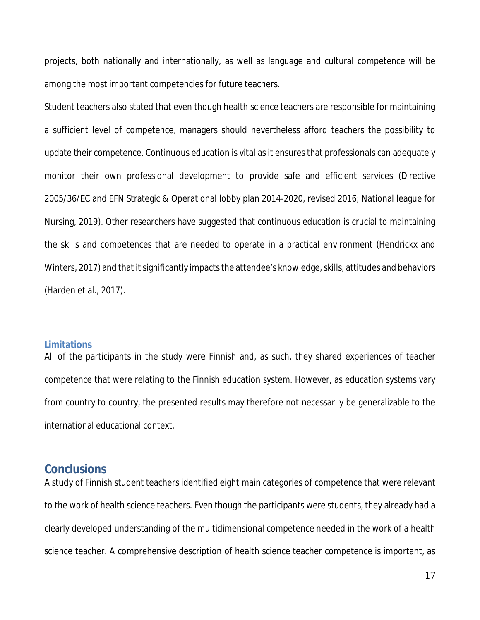projects, both nationally and internationally, as well as language and cultural competence will be among the most important competencies for future teachers.

Student teachers also stated that even though health science teachers are responsible for maintaining a sufficient level of competence, managers should nevertheless afford teachers the possibility to update their competence. Continuous education is vital as it ensures that professionals can adequately monitor their own professional development to provide safe and efficient services (Directive 2005/36/EC and EFN Strategic & Operational lobby plan 2014-2020, revised 2016; National league for Nursing, 2019). Other researchers have suggested that continuous education is crucial to maintaining the skills and competences that are needed to operate in a practical environment (Hendrickx and Winters, 2017) and that it significantly impacts the attendee's knowledge, skills, attitudes and behaviors (Harden et al., 2017).

#### **Limitations**

All of the participants in the study were Finnish and, as such, they shared experiences of teacher competence that were relating to the Finnish education system. However, as education systems vary from country to country, the presented results may therefore not necessarily be generalizable to the international educational context.

# **Conclusions**

A study of Finnish student teachers identified eight main categories of competence that were relevant to the work of health science teachers. Even though the participants were students, they already had a clearly developed understanding of the multidimensional competence needed in the work of a health science teacher. A comprehensive description of health science teacher competence is important, as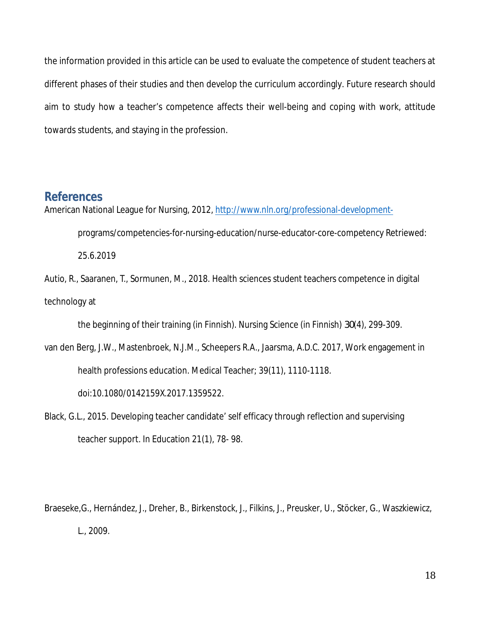the information provided in this article can be used to evaluate the competence of student teachers at different phases of their studies and then develop the curriculum accordingly. Future research should aim to study how a teacher's competence affects their well-being and coping with work, attitude towards students, and staying in the profession.

# **References**

American National League for Nursing, 2012, http://www.nln.org/professional-development-

programs/competencies-for-nursing-education/nurse-educator-core-competency Retriewed:

25.6.2019

Autio, R., Saaranen, T., Sormunen, M., 2018. Health sciences student teachers competence in digital technology at

the beginning of their training (in Finnish). Nursing Science (in Finnish) *30*(4), 299-309.

van den Berg, J.W., Mastenbroek, N.J.M., Scheepers R.A., Jaarsma, A.D.C. 2017, Work engagement in health professions education. Medical Teacher; 39(11), 1110-1118.

doi:10.1080/0142159X.2017.1359522.

Black, G.L., 2015. Developing teacher candidate' self efficacy through reflection and supervising teacher support. In Education *21*(1), 78- 98.

Braeseke,G., Hernández, J., Dreher, B., Birkenstock, J., Filkins, J., Preusker, U., Stöcker, G., Waszkiewicz, L., 2009.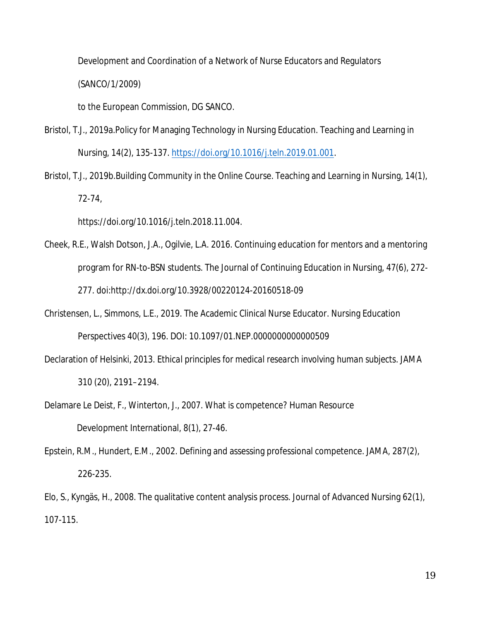Development and Coordination of a Network of Nurse Educators and Regulators (SANCO/1/2009)

to the European Commission, DG SANCO.

- Bristol, T.J., 2019a.Policy for Managing Technology in Nursing Education. Teaching and Learning in Nursing, 14(2), 135-137. https://doi.org/10.1016/j.teln.2019.01.001.
- Bristol, T.J., 2019b.Building Community in the Online Course. Teaching and Learning in Nursing, 14(1), 72-74,

https://doi.org/10.1016/j.teln.2018.11.004.

- Cheek, R.E., Walsh Dotson, J.A., Ogilvie, L.A. 2016. Continuing education for mentors and a mentoring program for RN-to-BSN students. The Journal of Continuing Education in Nursing, 47(6), 272- 277. doi:http://dx.doi.org/10.3928/00220124-20160518-09
- Christensen, L., Simmons, L.E., 2019. The Academic Clinical Nurse Educator. Nursing Education Perspectives 40(3), 196. DOI: 10.1097/01.NEP.0000000000000509
- Declaration of Helsinki, 2013. *Ethical principles for medical research involving human subjects*. JAMA 310 (20), 2191–2194.
- Delamare Le Deist, F., Winterton, J., 2007. What is competence? Human Resource Development International*, 8*(1), 27-46.
- Epstein, R.M., Hundert, E.M., 2002. Defining and assessing professional competence. JAMA, *287*(2), 226-235.

Elo, S., Kyngäs, H., 2008. The qualitative content analysis process. Journal of Advanced Nursing *62*(1), 107-115.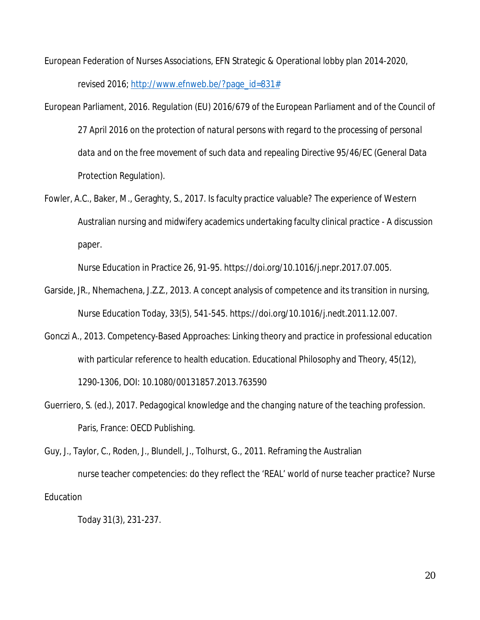European Federation of Nurses Associations, EFN Strategic & Operational lobby plan 2014-2020, revised 2016; http://www.efnweb.be/?page\_id=831#

- European Parliament, 2016. *Regulation (EU) 2016/679 of the European Parliament and of the Council of 27 April 2016 on the protection of natural persons with regard to the processing of personal data and on the free movement of such data and repealing Directive 95/46/EC* (General Data Protection Regulation).
- Fowler, A.C., Baker, M., Geraghty, S., 2017. Is faculty practice valuable? The experience of Western Australian nursing and midwifery academics undertaking faculty clinical practice - A discussion paper.

Nurse Education in Practice 26, 91-95. https://doi.org/10.1016/j.nepr.2017.07.005.

- Garside, JR., Nhemachena, J.Z.Z., 2013. A concept analysis of competence and its transition in nursing, Nurse Education Today, 33(5), 541-545. https://doi.org/10.1016/j.nedt.2011.12.007.
- Gonczi A., 2013. Competency-Based Approaches: Linking theory and practice in professional education with particular reference to health education. Educational Philosophy and Theory, 45(12), 1290-1306, DOI: 10.1080/00131857.2013.763590
- Guerriero, S. (ed.), 2017. *Pedagogical knowledge and the changing nature of the teaching profession*. Paris, France: OECD Publishing.

Guy, J., Taylor, C., Roden, J., Blundell, J., Tolhurst, G., 2011. Reframing the Australian nurse teacher competencies: do they reflect the 'REAL' world of nurse teacher practice? Nurse **Education** 

Today *31*(3), 231-237.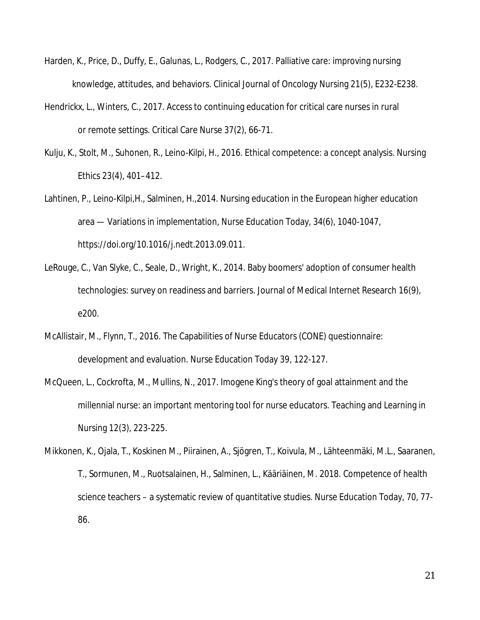- Harden, K., Price, D., Duffy, E., Galunas, L., Rodgers, C., 2017. Palliative care: improving nursing knowledge, attitudes, and behaviors. Clinical Journal of Oncology Nursing *21*(5), E232-E238.
- Hendrickx, L., Winters, C., 2017. Access to continuing education for critical care nurses in rural or remote settings. Critical Care Nurse *37*(2), 66-71.
- Kulju, K., Stolt, M., Suhonen, R., Leino-Kilpi, H., 2016. Ethical competence: a concept analysis. Nursing Ethics *23*(4), 401–412.
- Lahtinen, P., Leino-Kilpi,H., Salminen, H.,2014. Nursing education in the European higher education area — Variations in implementation, Nurse Education Today, 34(6), 1040-1047, https://doi.org/10.1016/j.nedt.2013.09.011.
- LeRouge, C., Van Slyke, C., Seale, D., Wright, K., 2014. Baby boomers' adoption of consumer health technologies: survey on readiness and barriers. Journal of Medical Internet Research *16*(9), e200.
- McAllistair, M., Flynn, T., 2016. The Capabilities of Nurse Educators (CONE) questionnaire: development and evaluation. Nurse Education Today *39*, 122-127.
- McQueen, L., Cockrofta, M., Mullins, N., 2017. Imogene King's theory of goal attainment and the millennial nurse: an important mentoring tool for nurse educators. Teaching and Learning in Nursing *12*(3), 223-225.
- Mikkonen, K., Ojala, T., Koskinen M., Piirainen, A., Sjögren, T., Koivula, M., Lähteenmäki, M.L., Saaranen, T., Sormunen, M., Ruotsalainen, H., Salminen, L., Kääriäinen, M. 2018. Competence of health science teachers – a systematic review of quantitative studies. Nurse Education Today, 70, 77- 86.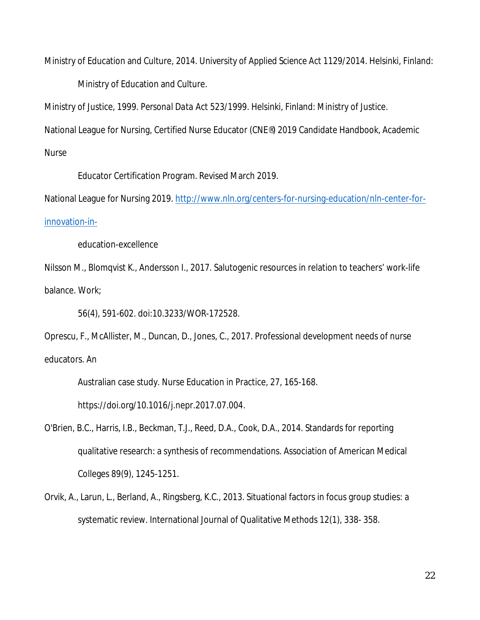Ministry of Education and Culture, 2014. *University of Applied Science Act 1129/2014*. Helsinki, Finland: Ministry of Education and Culture.

Ministry of Justice, 1999. *Personal Data Act 523/1999*. Helsinki, Finland: Ministry of Justice. National League for Nursing, Certified Nurse Educator (CNE®) 2019 Candidate Handbook, Academic Nurse

Educator Certification Program. Revised March 2019.

National League for Nursing 2019. http://www.nln.org/centers-for-nursing-education/nln-center-forinnovation-in-

education-excellence

Nilsson M., Blomqvist K., Andersson I., 2017. Salutogenic resources in relation to teachers' work-life balance. Work;

56(4), 591-602. doi:10.3233/WOR-172528.

Oprescu, F., McAllister, M., Duncan, D., Jones, C., 2017. Professional development needs of nurse educators. An

Australian case study. Nurse Education in Practice, 27, 165-168.

https://doi.org/10.1016/j.nepr.2017.07.004.

- O'Brien, B.C., Harris, I.B., Beckman, T.J., Reed, D.A., Cook, D.A., 2014. Standards for reporting qualitative research: a synthesis of recommendations. Association of American Medical Colleges *89*(9), 1245-1251.
- Orvik, A., Larun, L., Berland, A., Ringsberg, K.C., 2013. Situational factors in focus group studies: a systematic review. International Journal of Qualitative Methods *12*(1), 338- 358.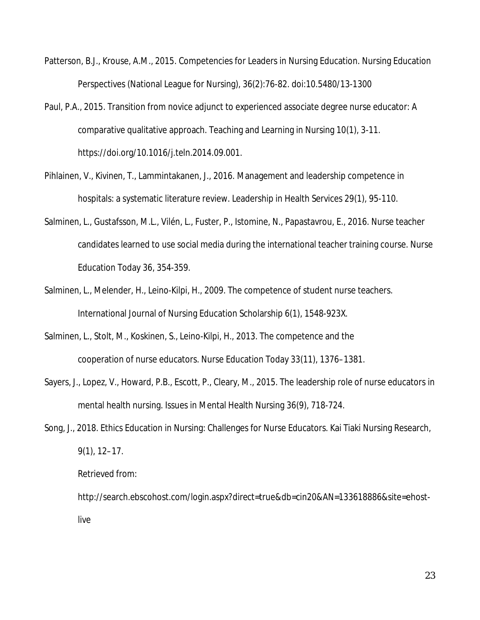- Patterson, B.J., Krouse, A.M., 2015. Competencies for Leaders in Nursing Education. Nursing Education Perspectives (National League for Nursing), 36(2):76-82. doi:10.5480/13-1300
- Paul, P.A., 2015. Transition from novice adjunct to experienced associate degree nurse educator: A comparative qualitative approach. Teaching and Learning in Nursing 10(1), 3-11. https://doi.org/10.1016/j.teln.2014.09.001.
- Pihlainen, V., Kivinen, T., Lammintakanen, J., 2016. Management and leadership competence in hospitals: a systematic literature review. Leadership in Health Services *29*(1), 95-110.
- Salminen, L., Gustafsson, M.L., Vilén, L., Fuster, P., Istomine, N., Papastavrou, E., 2016. Nurse teacher candidates learned to use social media during the international teacher training course. Nurse Education Today *36*, 354-359.
- Salminen, L., Melender, H., Leino-Kilpi, H., 2009. The competence of student nurse teachers. International Journal of Nursing Education Scholarship *6*(1), 1548-923X.
- Salminen, L., Stolt, M., Koskinen, S., Leino-Kilpi, H., 2013. The competence and the cooperation of nurse educators. Nurse Education Today *33*(11), 1376–1381.
- Sayers, J., Lopez, V., Howard, P.B., Escott, P., Cleary, M., 2015. The leadership role of nurse educators in mental health nursing. Issues in Mental Health Nursing *36*(9), 718-724.
- Song, J., 2018. Ethics Education in Nursing: Challenges for Nurse Educators. Kai Tiaki Nursing Research, 9(1), 12–17.

Retrieved from:

http://search.ebscohost.com/login.aspx?direct=true&db=cin20&AN=133618886&site=ehostlive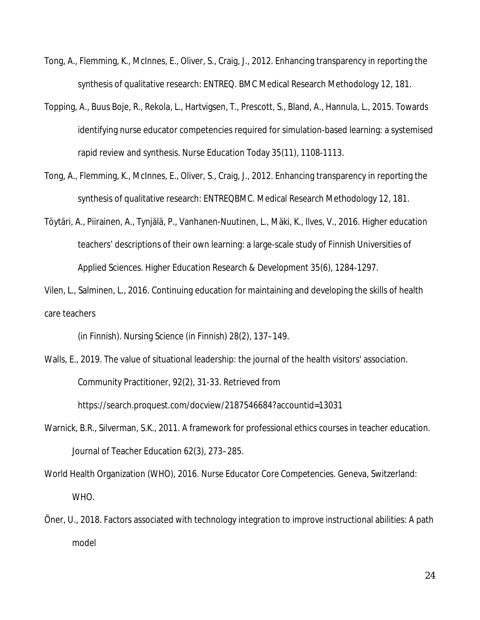- Tong, A., Flemming, K., McInnes, E., Oliver, S., Craig, J., 2012. Enhancing transparency in reporting the synthesis of qualitative research: ENTREQ. BMC Medical Research Methodology *12*, 181.
- Topping, A., Buus Boje, R., Rekola, L., Hartvigsen, T., Prescott, S., Bland, A., Hannula, L., 2015. Towards identifying nurse educator competencies required for simulation-based learning: a systemised rapid review and synthesis. Nurse Education Today *35*(11), 1108-1113.
- Tong, A., Flemming, K., McInnes, E., Oliver, S., Craig, J., 2012. Enhancing transparency in reporting the synthesis of qualitative research: ENTREQBMC. Medical Research Methodology *12*, 181.
- Töytäri, A., Piirainen, A., Tynjälä, P., Vanhanen-Nuutinen, L., Mäki, K., Ilves, V., 2016. Higher education teachers' descriptions of their own learning: a large-scale study of Finnish Universities of Applied Sciences. Higher Education Research & Development *35*(6), 1284-1297.

Vilen, L., Salminen, L., 2016. Continuing education for maintaining and developing the skills of health care teachers

(in Finnish). Nursing Science (in Finnish) *28*(2), 137–149.

- Walls, E., 2019. The value of situational leadership: the journal of the health visitors' association. Community Practitioner, 92(2), 31-33. Retrieved from https://search.proquest.com/docview/2187546684?accountid=13031
- Warnick, B.R., Silverman, S.K., 2011. A framework for professional ethics courses in teacher education. Journal of Teacher Education *62*(3), 273–285.
- World Health Organization (WHO), 2016. *Nurse Educator Core Competencies*. Geneva, Switzerland: WHO.
- Öner, U., 2018. Factors associated with technology integration to improve instructional abilities: A path model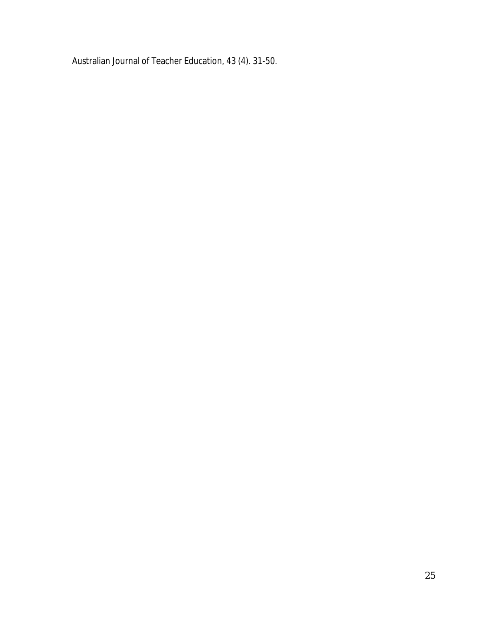Australian Journal of Teacher Education, 43 (4). 31-50.